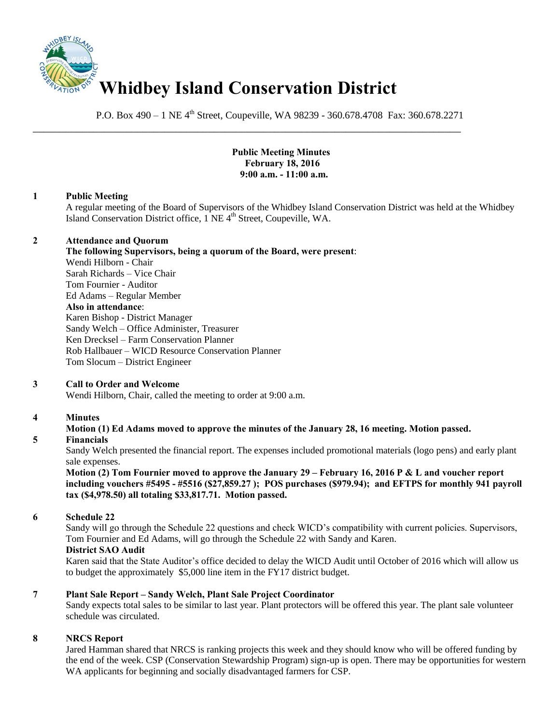

P.O. Box 490 – 1 NE 4<sup>th</sup> Street, Coupeville, WA 98239 - 360.678.4708 Fax: 360.678.2271

\_\_\_\_\_\_\_\_\_\_\_\_\_\_\_\_\_\_\_\_\_\_\_\_\_\_\_\_\_\_\_\_\_\_\_\_\_\_\_\_\_\_\_\_\_\_\_\_\_\_\_\_\_\_\_\_\_\_\_\_\_\_\_\_\_\_\_\_\_\_\_\_\_\_\_\_\_\_

## **Public Meeting Minutes February 18, 2016 9:00 a.m. - 11:00 a.m.**

# **1 Public Meeting**

A regular meeting of the Board of Supervisors of the Whidbey Island Conservation District was held at the Whidbey Island Conservation District office, 1 NE 4<sup>th</sup> Street, Coupeville, WA.

## **2 Attendance and Quorum**

**The following Supervisors, being a quorum of the Board, were present**: Wendi Hilborn - Chair Sarah Richards – Vice Chair Tom Fournier - Auditor Ed Adams – Regular Member **Also in attendance**: Karen Bishop - District Manager Sandy Welch – Office Administer, Treasurer Ken Drecksel – Farm Conservation Planner

Rob Hallbauer – WICD Resource Conservation Planner Tom Slocum – District Engineer

# **3 Call to Order and Welcome**

Wendi Hilborn, Chair, called the meeting to order at 9:00 a.m.

# **4 Minutes**

# **Motion (1) Ed Adams moved to approve the minutes of the January 28, 16 meeting. Motion passed.**

# **5 Financials**

Sandy Welch presented the financial report. The expenses included promotional materials (logo pens) and early plant sale expenses.

**Motion (2) Tom Fournier moved to approve the January 29 – February 16, 2016 P & L and voucher report including vouchers #5495 - #5516 (\$27,859.27 ); POS purchases (\$979.94); and EFTPS for monthly 941 payroll tax (\$4,978.50) all totaling \$33,817.71. Motion passed.** 

#### **6 Schedule 22**

Sandy will go through the Schedule 22 questions and check WICD's compatibility with current policies. Supervisors, Tom Fournier and Ed Adams, will go through the Schedule 22 with Sandy and Karen.

#### **District SAO Audit**

Karen said that the State Auditor's office decided to delay the WICD Audit until October of 2016 which will allow us to budget the approximately \$5,000 line item in the FY17 district budget.

## **7 Plant Sale Report – Sandy Welch, Plant Sale Project Coordinator**

Sandy expects total sales to be similar to last year. Plant protectors will be offered this year. The plant sale volunteer schedule was circulated.

# **8 NRCS Report**

Jared Hamman shared that NRCS is ranking projects this week and they should know who will be offered funding by the end of the week. CSP (Conservation Stewardship Program) sign-up is open. There may be opportunities for western WA applicants for beginning and socially disadvantaged farmers for CSP.